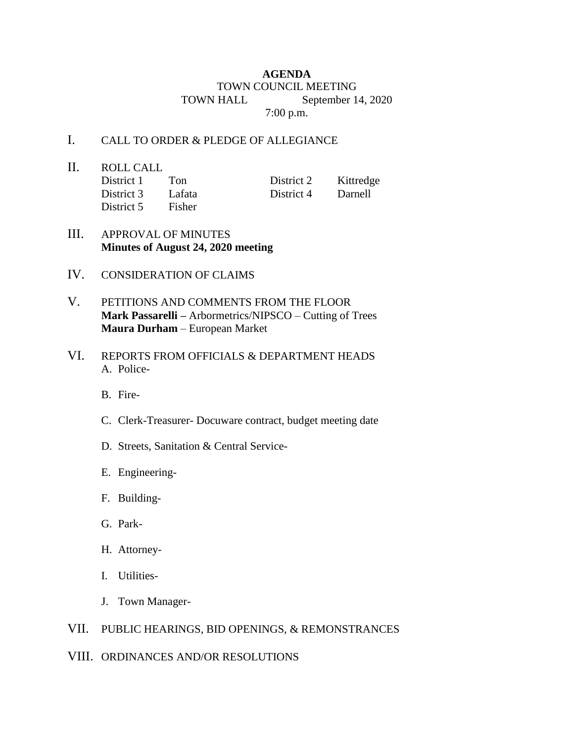## **AGENDA** TOWN COUNCIL MEETING TOWN HALL September 14, 2020 7:00 p.m.

## I. CALL TO ORDER & PLEDGE OF ALLEGIANCE

II. ROLL CALL District 1 Ton District 2 Kittredge District 3 Lafata District 4 Darnell District 5 Fisher

- III. APPROVAL OF MINUTES **Minutes of August 24, 2020 meeting**
- IV. CONSIDERATION OF CLAIMS
- V. PETITIONS AND COMMENTS FROM THE FLOOR **Mark Passarelli –** Arbormetrics/NIPSCO – Cutting of Trees **Maura Durham** – European Market
- VI. REPORTS FROM OFFICIALS & DEPARTMENT HEADS A. Police-
	- B. Fire-
	- C. Clerk-Treasurer- Docuware contract, budget meeting date
	- D. Streets, Sanitation & Central Service-
	- E. Engineering-
	- F. Building-
	- G. Park-
	- H. Attorney-
	- I. Utilities-
	- J. Town Manager-
- VII. PUBLIC HEARINGS, BID OPENINGS, & REMONSTRANCES
- VIII. ORDINANCES AND/OR RESOLUTIONS